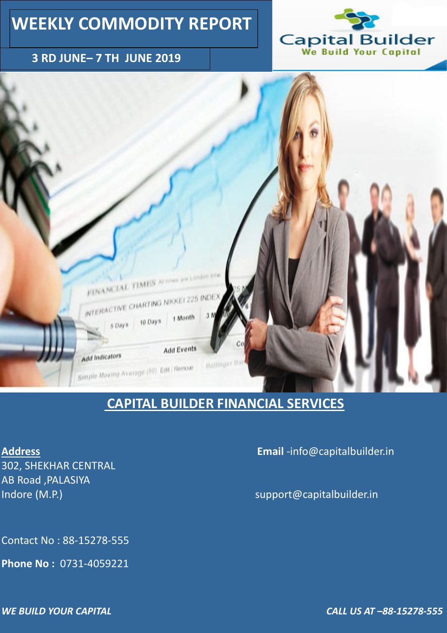#### **3 RD JUNE– 7 TH JUNE 2019**





# **WEEKLY COMMODITY REPORT**

302, SHEKHAR CENTRAL AB Road ,PALASIYA Indore (M.P.) and the control of the control of the support@capitalbuilder.in

### **CAPITAL BUILDER FINANCIAL SERVICES**

**Address Email** -info@capitalbuilder.in

Contact No : 88-15278-555

**Phone No :** 0731-4059221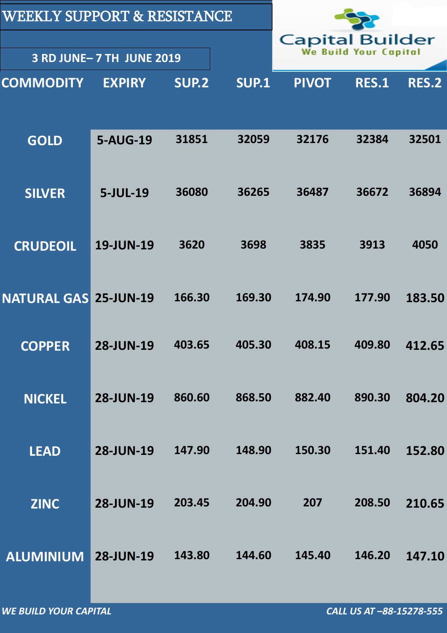| <b>WEEKLY SUPPORT &amp; RESISTANCE</b>     |                                                 |        |              |              |              |        |
|--------------------------------------------|-------------------------------------------------|--------|--------------|--------------|--------------|--------|
| 3 RD JUNE- 7 TH JUNE 2019                  | <b>Capital Builder</b><br>We Build Your Capital |        |              |              |              |        |
| <b>EXPIRY</b><br>SUP.2<br><b>COMMODITY</b> |                                                 |        | <b>SUP.1</b> | <b>PIVOT</b> | <b>RES.1</b> | RES.2  |
|                                            |                                                 |        |              |              |              |        |
| <b>GOLD</b>                                | <b>5-AUG-19</b>                                 | 31851  | 32059        | 32176        | 32384        | 32501  |
|                                            |                                                 |        |              |              |              |        |
| <b>SILVER</b>                              | 5-JUL-19                                        | 36080  | 36265        | 36487        | 36672        | 36894  |
| <b>CRUDEOIL</b>                            | <b>19-JUN-19</b>                                | 3620   | 3698         | 3835         | 3913         | 4050   |
|                                            |                                                 |        |              |              |              |        |
| <b>NATURAL GAS</b>                         | <b>25-JUN-19</b>                                | 166.30 | 169.30       | 174.90       | 177.90       | 183.50 |
| <b>COPPER</b>                              | <b>28-JUN-19</b>                                | 403.65 | 405.30       | 408.15       | 409.80       | 412.65 |
|                                            |                                                 |        |              |              |              |        |
| <b>NICKEL</b>                              | <b>28-JUN-19</b>                                | 860.60 | 868.50       | 882.40       | 890.30       | 804.20 |
|                                            |                                                 |        |              |              |              |        |
| <b>LEAD</b>                                | <b>28-JUN-19</b>                                | 147.90 | 148.90       | 150.30       | 151.40       | 152.80 |

| <b>ZINC</b>         | <b>28-JUN-19</b> | 203.45 | 204.90 | 207    | 208.50 | 210.65 |
|---------------------|------------------|--------|--------|--------|--------|--------|
| ALUMINIUM 28-JUN-19 |                  | 143.80 | 144.60 | 145.40 | 146.20 | 147.10 |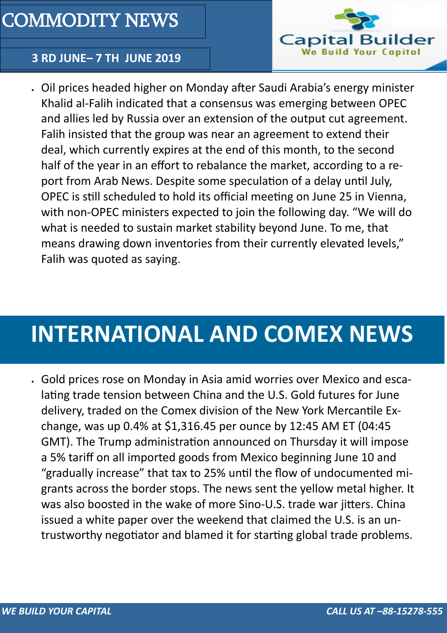

### **3 RD JUNE– 7 TH JUNE 2019**



 Oil prices headed higher on Monday after Saudi Arabia's energy minister Khalid al-Falih indicated that a consensus was emerging between OPEC and allies led by Russia over an extension of the output cut agreement. Falih insisted that the group was [near an agreement to extend their](https://www.investing.com/news/commodities-news/saudis-falih-says-opec-consensus-emerging-on-output-deal-in-second-half-1885778)  [deal,](https://www.investing.com/news/commodities-news/saudis-falih-says-opec-consensus-emerging-on-output-deal-in-second-half-1885778) which currently expires at the end of this month, to the second half of the year in an effort to rebalance the market, according to a report from Arab News. Despite some speculation of a delay until July, OPEC is still scheduled to hold its official meeting on June 25 in Vienna, with non-OPEC ministers expected to join the following day. "We will do what is needed to sustain market stability beyond June. To me, that means drawing down inventories from their currently elevated levels," Falih was quoted as saying.

# COMMODITY NEWS

# **INTERNATIONAL AND COMEX NEWS**

 Gold prices rose on Monday in Asia amid worries over Mexico and escalating trade tension between China and the U.S. [Gold futures](https://www.investing.com/commodities/gold) for June delivery, traded on the Comex division of the New York Mercantile Exchange, was up 0.4% at \$1,316.45 per ounce by 12:45 AM ET (04:45 GMT). The Trump administration announced on Thursday it will impose a 5% tariff on all imported goods from Mexico beginning June 10 and "gradually increase" that tax to 25% until the flow of undocumented mi-

grants across the border stops. The news sent the yellow metal higher. It was also boosted in the wake of more Sino-U.S. trade war jitters. China issued a white paper over the weekend that claimed the U.S. is an untrustworthy negotiator and blamed it for starting global trade problems.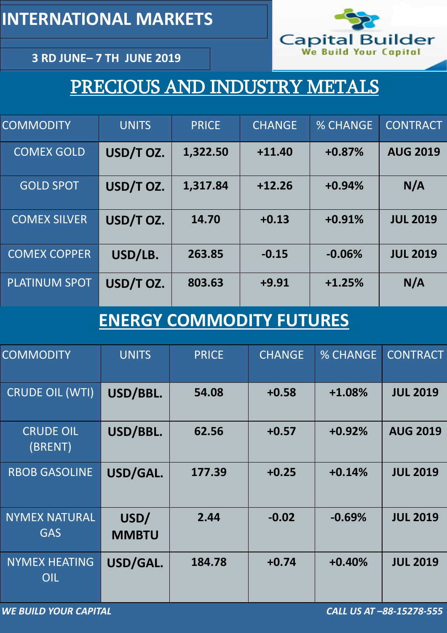**3 RD JUNE– 7 TH JUNE 2019**

# PRECIOUS AND INDUSTRY METALS

| <b>COMMODITY</b>     | <b>UNITS</b> | <b>PRICE</b> | <b>CHANGE</b> | <b>% CHANGE</b> | <b>CONTRACT</b> |
|----------------------|--------------|--------------|---------------|-----------------|-----------------|
| <b>COMEX GOLD</b>    | USD/T OZ.    | 1,322.50     | $+11.40$      | $+0.87%$        | <b>AUG 2019</b> |
| <b>GOLD SPOT</b>     | USD/T OZ.    | 1,317.84     | $+12.26$      | $+0.94%$        | N/A             |
| <b>COMEX SILVER</b>  | USD/T OZ.    | 14.70        | $+0.13$       | $+0.91%$        | <b>JUL 2019</b> |
| <b>COMEX COPPER</b>  | USD/LB.      | 263.85       | $-0.15$       | $-0.06%$        | <b>JUL 2019</b> |
| <b>PLATINUM SPOT</b> | USD/T OZ.    | 803.63       | $+9.91$       | $+1.25%$        | N/A             |

# **ENERGY COMMODITY FUTURES**

| <b>COMMODITY</b>            | <b>UNITS</b>         | <b>PRICE</b> | <b>CHANGE</b> | <b>% CHANGE</b> | <b>CONTRACT</b> |
|-----------------------------|----------------------|--------------|---------------|-----------------|-----------------|
| <b>CRUDE OIL (WTI)</b>      | USD/BBL.             | 54.08        | $+0.58$       | $+1.08%$        | <b>JUL 2019</b> |
| <b>CRUDE OIL</b><br>(BRENT) | USD/BBL.             | 62.56        | $+0.57$       | $+0.92%$        | <b>AUG 2019</b> |
| <b>RBOB GASOLINE</b>        | USD/GAL.             | 177.39       | $+0.25$       | $+0.14%$        | <b>JUL 2019</b> |
| NYMEX NATURAL<br><b>GAS</b> | USD/<br><b>MMBTU</b> | 2.44         | $-0.02$       | $-0.69%$        | <b>JUL 2019</b> |
| <b>NYMEX HEATING</b><br>OIL | USD/GAL.             | 184.78       | $+0.74$       | $+0.40%$        | <b>JUL 2019</b> |

**INTERNATIONAL MARKETS** 

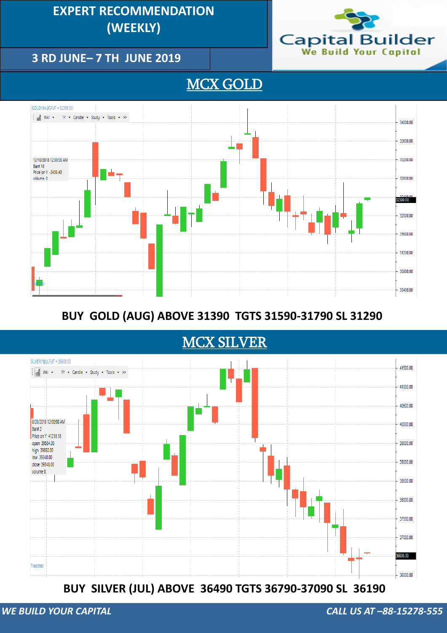## BUY SILVER (JUL) ABOVE 36490 TGTS 36790-37090 SL 36190

### **3 RD JUNE– 7 TH JUNE 2019**

## **EXPERT RECOMMENDATION (WEEKLY) (DAILY)**



### MCX GOLD



## **SELL GOLD (DEC) BELOW 29600 TGTS 29200-28900 SL 29800 BUY GOLD (JUN) ABOVE 28100 TGTS 28400-28700 SL 27800 BUY GOLD (AUG) ABOVE 31390 TGTS 31590-31790 SL 31290**

### **MCX SILVER**

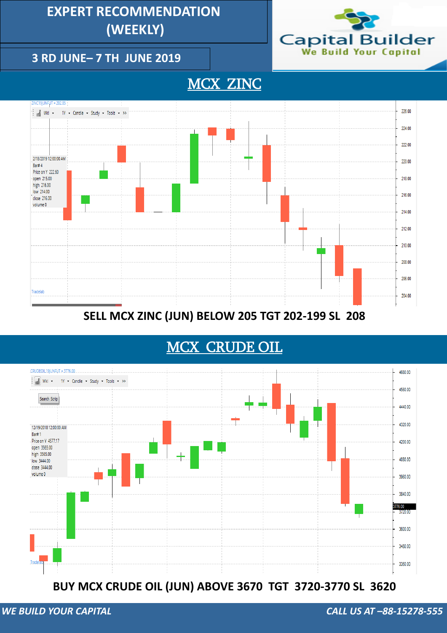### **3 RD JUNE– 7 TH JUNE 2019**

## **EXPERT RECOMMENDATION (WEEKLY)**



### MCX ZINC



### **SELL MCX ZINC (JUN) BELOW 205 TGT 202-199 SL 208**

#### **BUY MCX CRUDE OIL (JUN) ABOVE 3670 TGT 3720-3770 SL 3620**

## MCX CRUDE OIL

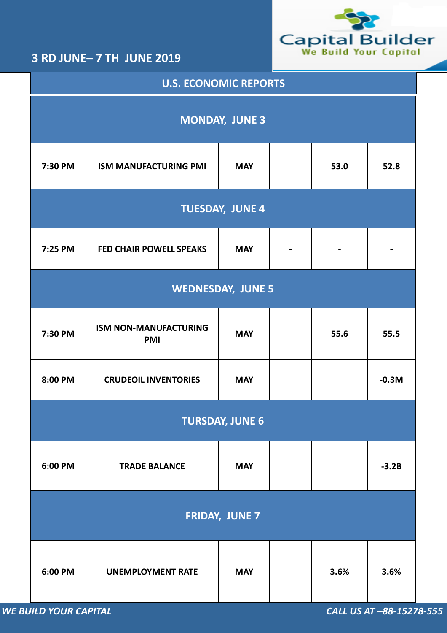*WE BUILD YOUR CAPITAL CALL US AT –88-15278-555*



| <b>U.S. ECONOMIC REPORTS</b> |                                                    |            |  |      |         |  |  |  |
|------------------------------|----------------------------------------------------|------------|--|------|---------|--|--|--|
| <b>MONDAY, JUNE 3</b>        |                                                    |            |  |      |         |  |  |  |
| 7:30 PM                      | <b>ISM MANUFACTURING PMI</b><br>53.0<br><b>MAY</b> |            |  |      |         |  |  |  |
| <b>TUESDAY, JUNE 4</b>       |                                                    |            |  |      |         |  |  |  |
| 7:25 PM                      | <b>FED CHAIR POWELL SPEAKS</b>                     | <b>MAY</b> |  |      |         |  |  |  |
|                              | <b>WEDNESDAY, JUNE 5</b>                           |            |  |      |         |  |  |  |
| 7:30 PM                      | <b>ISM NON-MANUFACTURING</b><br><b>PMI</b>         | <b>MAY</b> |  | 55.6 | 55.5    |  |  |  |
| 8:00 PM                      | <b>CRUDEOIL INVENTORIES</b>                        | <b>MAY</b> |  |      | $-0.3M$ |  |  |  |
| <b>TURSDAY, JUNE 6</b>       |                                                    |            |  |      |         |  |  |  |
| 6:00 PM                      | <b>TRADE BALANCE</b>                               | <b>MAY</b> |  |      | $-3.2B$ |  |  |  |